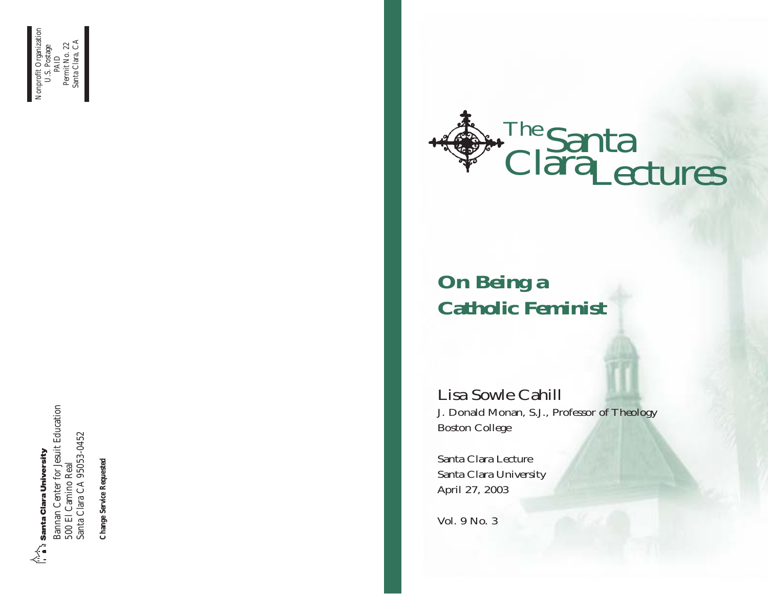Nonprofit Organization Nonprofit Organization<br>U.S. Postage<br>PAID Permit No. 22<br>Santa Clara, CA



Bannan Center for Jesuit Education Bannan Center for Jesuit Education 500 El Camino Real<br>Santa Clara CA 95053-0452 500 El Camino Real<br>Santa Clara CA 95053-0452

Change Service Requested **Change Service Requested**



# **On Being a Catholic Feminist**

Lisa Sowle Cahill J. Donald Monan, S.J., Professor of Theology Boston College

Santa Clara Lecture Santa Clara University April 27, 2003

Vol. 9 No. 3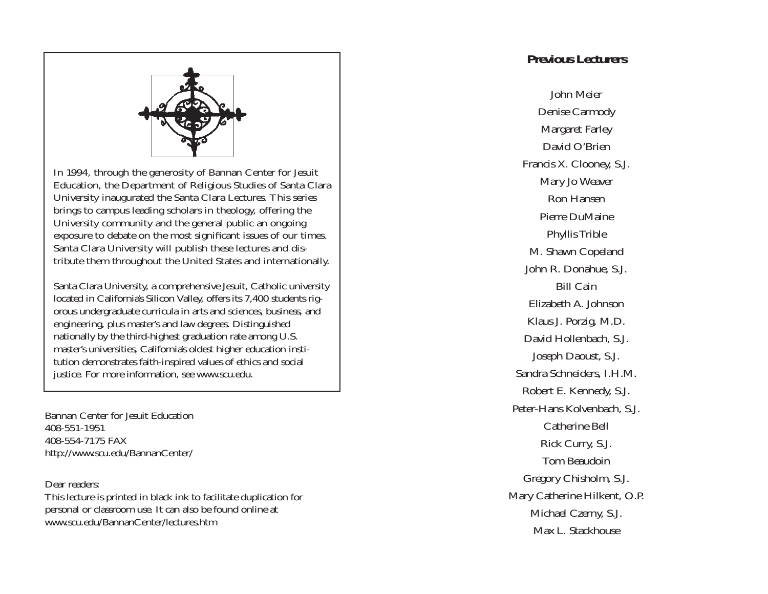## **Previous Lecturers**



In 1994, through the generosity of Bannan Center for Jesuit Education, the Department of Religious Studies of Santa Clara University inaugurated the Santa Clara Lectures. This series brings to campus leading scholars in theology, offering the University community and the general public an ongoing exposure to debate on the most significant issues of our times. Santa Clara University will publish these lectures and distribute them throughout the United States and internationally.

Santa Clara University, a comprehensive Jesuit, Catholic university located in California's Silicon Valley, offers its 7,400 students rigorous undergraduate curricula in arts and sciences, business, and engineering, plus master's and law degrees. Distinguished nationally by the third-highest graduation rate among U.S. master's universities, California's oldest higher education institution demonstrates faith-inspired values of ethics and social justice. For more information, see www.scu.edu.

Bannan Center for Jesuit Education 408-551-1951 408-554-7175 FAX http://www.scu.edu/BannanCenter/

Dear readers:

This lecture is printed in black ink to facilitate duplication for personal or classroom use. It can also be found online at www.scu.edu/BannanCenter/lectures.htm

John Meier Denise Carmody Margaret Farley David O'Brien Francis X. Clooney, S.J. Mary Jo Weaver Ron Hansen Pierre DuMaine Phyllis Trible M. Shawn Copeland John R. Donahue, S.J. Bill Cain Elizabeth A. Johnson Klaus J. Porzig, M.D. David Hollenbach, S.J. Joseph Daoust, S.J. Sandra Schneiders, I.H.M. Robert E. Kennedy, S.J. Peter-Hans Kolvenbach, S.J. Catherine Bell Rick Curry, S.J. Tom Beaudoin Gregory Chisholm, S.J. Mary Catherine Hilkent, O.P. Michael Czerny, S.J. Max L. Stackhouse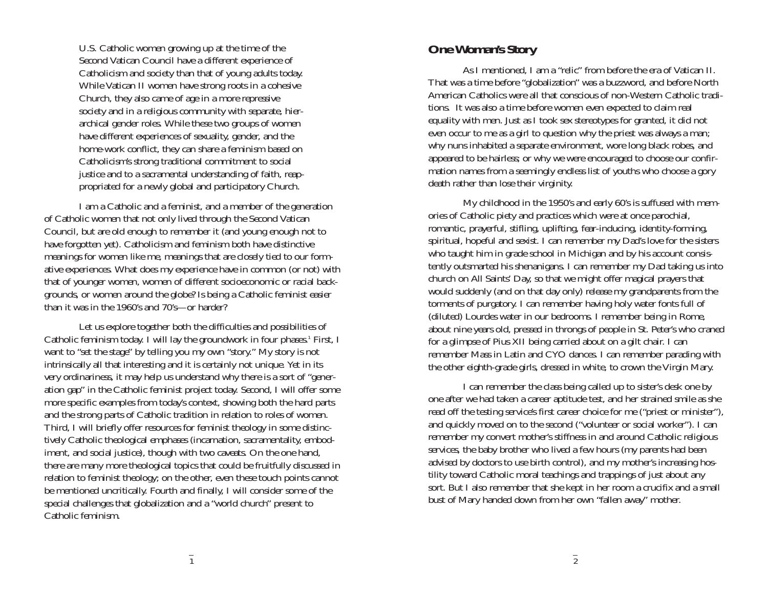U.S. Catholic women growing up at the time of the Second Vatican Council have a different experience of Catholicism and society than that of young adults today. While Vatican II women have strong roots in a cohesive Church, they also came of age in a more repressive society and in a religious community with separate, hierarchical gender roles. While these two groups of women have different experiences of sexuality, gender, and the home-work conflict, they can share a feminism based on Catholicism's strong traditional commitment to social justice and to a sacramental understanding of faith, reappropriated for a newly global and participatory Church.

I am a Catholic and a feminist, and a member of the generation of Catholic women that not only lived through the Second Vatican Council, but are old enough to remember it (and young enough not to have forgotten yet). Catholicism and feminism both have distinctive meanings for women like me, meanings that are closely tied to our formative experiences. What does my experience have in common (or not) with that of younger women, women of different socioeconomic or racial backgrounds, or women around the globe? Is being a Catholic feminist easier than it was in the 1960's and 70's—or harder?

Let us explore together both the difficulties and possibilities of Catholic feminism today. I will lay the groundwork in four phases.<sup>1</sup> First, I want to "set the stage" by telling you my own "story." My story is not intrinsically all that interesting and it is certainly not unique. Yet in its very ordinariness, it may help us understand why there is a sort of "generation gap" in the Catholic feminist project today. Second, I will offer some more specific examples from today's context, showing both the hard parts and the strong parts of Catholic tradition in relation to roles of women. Third, I will briefly offer resources for feminist theology in some distinctively Catholic theological emphases (incarnation, sacramentality, embodiment, and social justice), though with two caveats. On the one hand, there are many more theological topics that could be fruitfully discussed in relation to feminist theology; on the other, even these touch points cannot be mentioned uncritically. Fourth and finally, I will consider some of the special challenges that globalization and a "world church" present to Catholic feminism.

### **One Woman's Story**

As I mentioned, I am a "relic" from before the era of Vatican II. That was a time before "globalization" was a buzzword, and before North American Catholics were all that conscious of non-Western Catholic traditions. It was also a time before women even expected to claim real equality with men. Just as I took sex stereotypes for granted, it did not even occur to me as a girl to question why the priest was always a man; why nuns inhabited a separate environment, wore long black robes, and appeared to be hairless; or why we were encouraged to choose our confirmation names from a seemingly endless list of youths who choose a gory death rather than lose their virginity.

My childhood in the 1950's and early 60's is suffused with memories of Catholic piety and practices which were at once parochial, romantic, prayerful, stifling, uplifting, fear-inducing, identity-forming, spiritual, hopeful and sexist. I can remember my Dad's love for the sisters who taught him in grade school in Michigan and by his account consistently outsmarted his shenanigans. I can remember my Dad taking us into church on All Saints' Day, so that we might offer magical prayers that would suddenly (and on that day only) release my grandparents from the torments of purgatory. I can remember having holy water fonts full of (diluted) Lourdes water in our bedrooms. I remember being in Rome, about nine years old, pressed in throngs of people in St. Peter's who craned for a glimpse of Pius XII being carried about on a gilt chair. I can remember Mass in Latin and CYO dances. I can remember parading with the other eighth-grade girls, dressed in white, to crown the Virgin Mary.

I can remember the class being called up to sister's desk one by one after we had taken a career aptitude test, and her strained smile as she read off the testing service's first career choice for me ("priest or minister"), and quickly moved on to the second ("volunteer or social worker"). I can remember my convert mother's stiffness in and around Catholic religious services, the baby brother who lived a few hours (my parents had been advised by doctors to use birth control), and my mother's increasing hostility toward Catholic moral teachings and trappings of just about any sort. But I also remember that she kept in her room a crucifix and a small bust of Mary handed down from her own "fallen away" mother.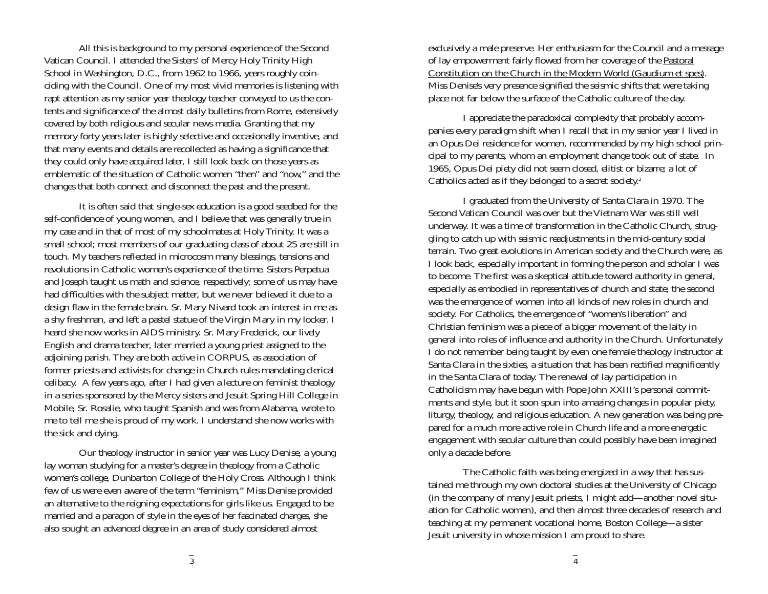All this is background to my personal experience of the Second Vatican Council. I attended the Sisters' of Mercy Holy Trinity High School in Washington, D.C., from 1962 to 1966, years roughly coinciding with the Council. One of my most vivid memories is listening with rapt attention as my senior year theology teacher conveyed to us the contents and significance of the almost daily bulletins from Rome, extensively covered by both religious and secular news media. Granting that my memory forty years later is highly selective and occasionally inventive, and that many events and details are recollected as having a significance that they could only have acquired later, I still look back on those years as emblematic of the situation of Catholic women "then" and "now," and the changes that both connect and disconnect the past and the present.

It is often said that single-sex education is a good seedbed for the self-confidence of young women, and I believe that was generally true in my case and in that of most of my schoolmates at Holy Trinity. It was a small school; most members of our graduating class of about 25 are still in touch. My teachers reflected in microcosm many blessings, tensions and revolutions in Catholic women's experience of the time. Sisters Perpetua and Joseph taught us math and science, respectively; some of us may have had difficulties with the subject matter, but we never believed it due to a design flaw in the female brain. Sr. Mary Nivard took an interest in me as a shy freshman, and left a pastel statue of the Virgin Mary in my locker. I heard she now works in AIDS ministry. Sr. Mary Frederick, our lively English and drama teacher, later married a young priest assigned to the adjoining parish. They are both active in CORPUS, as association of former priests and activists for change in Church rules mandating clerical celibacy. A few years ago, after I had given a lecture on feminist theology in a series sponsored by the Mercy sisters and Jesuit Spring Hill College in Mobile, Sr. Rosalie, who taught Spanish and was from Alabama, wrote to me to tell me she is proud of my work. I understand she now works with the sick and dying.

Our theology instructor in senior year was Lucy Denise, a young lay woman studying for a master's degree in theology from a Catholic women's college, Dunbarton College of the Holy Cross. Although I think few of us were even aware of the term "feminism," Miss Denise provided an alternative to the reigning expectations for girls like us. Engaged to be married and a paragon of style in the eyes of her fascinated charges, she also sought an advanced degree in an area of study considered almost

exclusively a male preserve. Her enthusiasm for the Council and a message of lay empowerment fairly flowed from her coverage of the Pastoral Constitution on the Church in the Modern World (Gaudium et spes). Miss Denise's very presence signified the seismic shifts that were taking place not far below the surface of the Catholic culture of the day.

I appreciate the paradoxical complexity that probably accompanies every paradigm shift when I recall that in my senior year I lived in an Opus Dei residence for women, recommended by my high school principal to my parents, whom an employment change took out of state. In 1965, Opus Dei piety did not seem closed, elitist or bizarre; a lot of Catholics acted as if they belonged to a secret society.<sup>2</sup>

I graduated from the University of Santa Clara in 1970. The Second Vatican Council was over but the Vietnam War was still well underway. It was a time of transformation in the Catholic Church, struggling to catch up with seismic readjustments in the mid-century social terrain. Two great evolutions in American society and the Church were, as I look back, especially important in forming the person and scholar I was to become. The first was a skeptical attitude toward authority in general, especially as embodied in representatives of church and state; the second was the emergence of women into all kinds of new roles in church and society. For Catholics, the emergence of "women's liberation" and Christian feminism was a piece of a bigger movement of the laity in general into roles of influence and authority in the Church. Unfortunately I do not remember being taught by even one female theology instructor at Santa Clara in the sixties, a situation that has been rectified magnificently in the Santa Clara of today. The renewal of lay participation in Catholicism may have begun with Pope John XXIII's personal commitments and style, but it soon spun into amazing changes in popular piety, liturgy, theology, and religious education. A new generation was being prepared for a much more active role in Church life and a more energetic engagement with secular culture than could possibly have been imagined only a decade before.

The Catholic faith was being energized in a way that has sustained me through my own doctoral studies at the University of Chicago (in the company of many Jesuit priests, I might add—another novel situation for Catholic women), and then almost three decades of research and teaching at my permanent vocational home, Boston College—a sister Jesuit university in whose mission I am proud to share.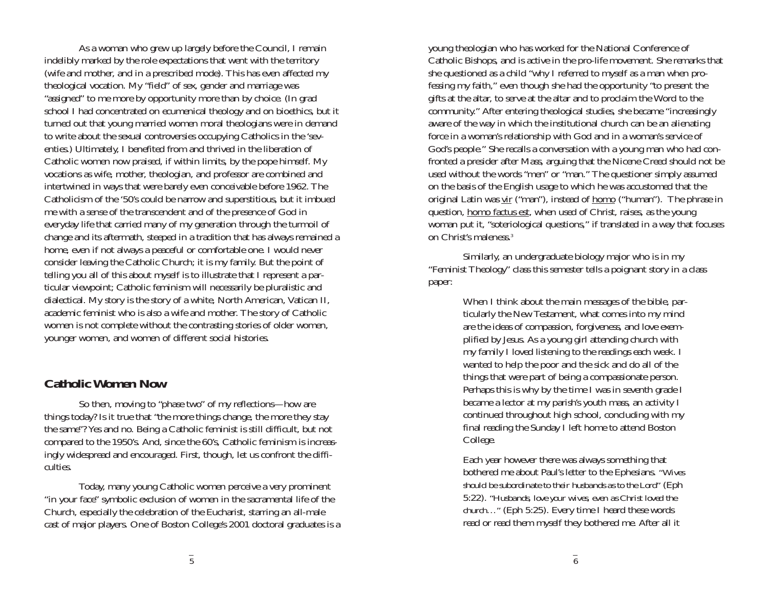As a woman who grew up largely before the Council, I remain indelibly marked by the role expectations that went with the territory (wife and mother, and in a prescribed mode). This has even affected my theological vocation. My "field" of sex, gender and marriage was "assigned" to me more by opportunity more than by choice. (In grad school I had concentrated on ecumenical theology and on bioethics, but it turned out that young married women moral theologians were in demand to write about the sexual controversies occupying Catholics in the 'seventies.) Ultimately, I benefited from and thrived in the liberation of Catholic women now praised, if within limits, by the pope himself. My vocations as wife, mother, theologian, and professor are combined and intertwined in ways that were barely even conceivable before 1962. The Catholicism of the '50's could be narrow and superstitious, but it imbued me with a sense of the transcendent and of the presence of God in everyday life that carried many of my generation through the turmoil of change and its aftermath, steeped in a tradition that has always remained a home, even if not always a peaceful or comfortable one. I would never consider leaving the Catholic Church; it is my family. But the point of telling you all of this about myself is to illustrate that I represent a particular viewpoint; Catholic feminism will necessarily be pluralistic and dialectical. My story is the story of a white, North American, Vatican II, academic feminist who is also a wife and mother. The story of Catholic women is not complete without the contrasting stories of older women, younger women, and women of different social histories.

## **Catholic Women Now**

So then, moving to "phase two" of my reflections—how are things today? Is it true that "the more things change, the more they stay the same"? Yes and no. Being a Catholic feminist is still difficult, but not compared to the 1950's. And, since the 60's, Catholic feminism is increasingly widespread and encouraged. First, though, let us confront the difficulties.

Today, many young Catholic women perceive a very prominent "in your face" symbolic exclusion of women in the sacramental life of the Church, especially the celebration of the Eucharist, starring an all-male cast of major players. One of Boston College's 2001 doctoral graduates is a young theologian who has worked for the National Conference of Catholic Bishops, and is active in the pro-life movement. She remarks that she questioned as a child "why I referred to myself as a man when professing my faith," even though she had the opportunity "to present the gifts at the altar, to serve at the altar and to proclaim the Word to the community." After entering theological studies, she became "increasingly aware of the way in which the institutional church can be an alienating force in a woman's relationship with God and in a woman's service of God's people." She recalls a conversation with a young man who had confronted a presider after Mass, arguing that the Nicene Creed should not be used without the words "men" or "man." The questioner simply assumed on the basis of the English usage to which he was accustomed that the original Latin was vir ("man"), instead of homo ("human"). The phrase in question, homo factus est, when used of Christ, raises, as the young woman put it, "soteriological questions," if translated in a way that focuses on Christ's maleness<sup>3</sup>

Similarly, an undergraduate biology major who is in my "Feminist Theology" class this semester tells a poignant story in a class paper:

> When I think about the main messages of the bible, particularly the New Testament, what comes into my mind are the ideas of compassion, forgiveness, and love exemplified by Jesus. As a young girl attending church with my family I loved listening to the readings each week. I wanted to help the poor and the sick and do all of the things that were part of being a compassionate person. Perhaps this is why by the time I was in seventh grade I became a lector at my parish's youth mass, an activity I continued throughout high school, concluding with my final reading the Sunday I left home to attend Boston College.

> Each year however there was always something that bothered me about Paul's letter to the Ephesians. *"Wives should be subordinate to their husbands as to the Lord"* (Eph 5:22). *"Husbands, love your wives, even as Christ loved the church…"* (Eph 5:25). Every time I heard these words read or read them myself they bothered me. After all it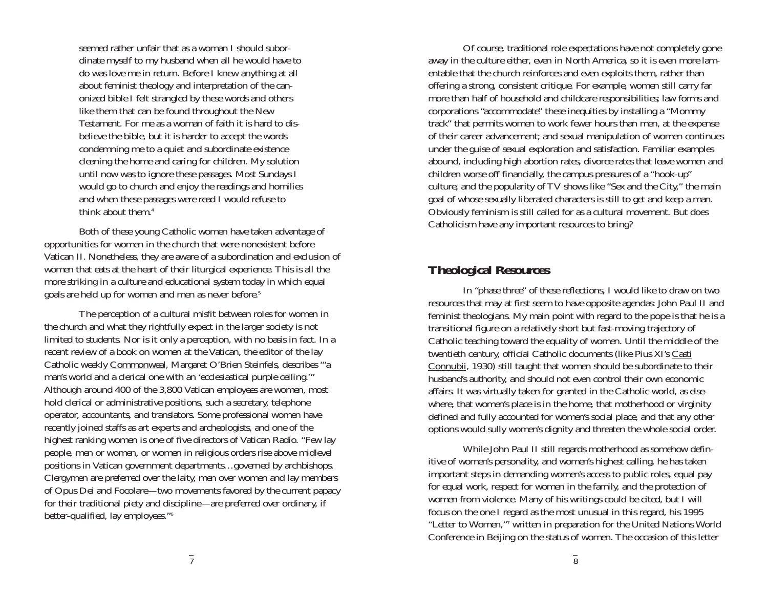seemed rather unfair that as a woman I should subordinate myself to my husband when all he would have to do was love me in return. Before I knew anything at all about feminist theology and interpretation of the canonized bible I felt strangled by these words and others like them that can be found throughout the New Testament. For me as a woman of faith it is hard to disbelieve the bible, but it is harder to accept the words condemning me to a quiet and subordinate existence cleaning the home and caring for children. My solution until now was to ignore these passages. Most Sundays I would go to church and enjoy the readings and homilies and when these passages were read I would refuse to think about them.4

Both of these young Catholic women have taken advantage of opportunities for women in the church that were nonexistent before Vatican II. Nonetheless, they are aware of a subordination and exclusion of women that eats at the heart of their liturgical experience. This is all the more striking in a culture and educational system today in which equal goals are held up for women and men as never before.5

The perception of a cultural misfit between roles for women in the church and what they rightfully expect in the larger society is not limited to students. Nor is it only a perception, with no basis in fact. In a recent review of a book on women at the Vatican, the editor of the lay Catholic weekly Commonweal, Margaret O'Brien Steinfels, describes "'a man's world and a clerical one with an 'ecclesiastical purple ceiling.'" Although around 400 of the 3,800 Vatican employees are women, most hold clerical or administrative positions, such a secretary, telephone operator, accountants, and translators. Some professional women have recently joined staffs as art experts and archeologists, and one of the highest ranking women is one of five directors of Vatican Radio. "Few lay people, men or women, or women in religious orders rise above midlevel positions in Vatican government departments…governed by archbishops. Clergymen are preferred over the laity, men over women and lay members of Opus Dei and Focolare—two movements favored by the current papacy for their traditional piety and discipline—are preferred over ordinary, if better-qualified, lay employees."6

Of course, traditional role expectations have not completely gone away in the culture either, even in North America, so it is even more lamentable that the church reinforces and even exploits them, rather than offering a strong, consistent critique. For example, women still carry far more than half of household and childcare responsibilities; law forms and corporations "accommodate" these inequities by installing a "Mommy track" that permits women to work fewer hours than men, at the expense of their career advancement; and sexual manipulation of women continues under the guise of sexual exploration and satisfaction. Familiar examples abound, including high abortion rates, divorce rates that leave women and children worse off financially, the campus pressures of a "hook-up" culture, and the popularity of TV shows like "Sex and the City," the main goal of whose sexually liberated characters is still to get and keep a man. Obviously feminism is still called for as a cultural movement. But does Catholicism have any important resources to bring?

## **Theological Resources**

In "phase three" of these reflections, I would like to draw on two resources that may at first seem to have opposite agendas: John Paul II and feminist theologians. My main point with regard to the pope is that he is a transitional figure on a relatively short but fast-moving trajectory of Catholic teaching toward the equality of women. Until the middle of the twentieth century, official Catholic documents (like Pius XI's Casti Connubii, 1930) still taught that women should be subordinate to their husband's authority, and should not even control their own economic affairs. It was virtually taken for granted in the Catholic world, as elsewhere, that women's place is in the home, that motherhood or virginity defined and fully accounted for women's social place, and that any other options would sully women's dignity and threaten the whole social order.

While John Paul II still regards motherhood as somehow definitive of women's personality, and women's highest calling, he has taken important steps in demanding women's access to public roles, equal pay for equal work, respect for women in the family, and the protection of women from violence. Many of his writings could be cited, but I will focus on the one I regard as the most unusual in this regard, his 1995 "Letter to Women,"7 written in preparation for the United Nations World Conference in Beijing on the status of women. The occasion of this letter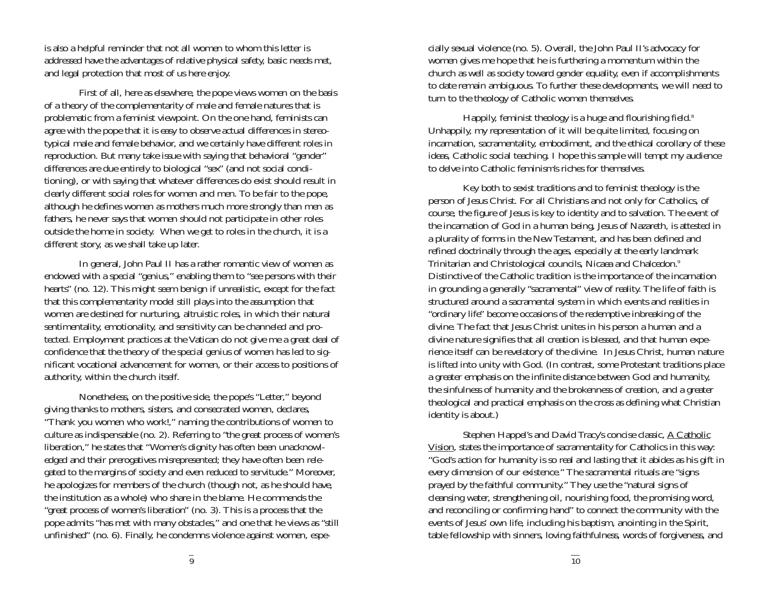is also a helpful reminder that not all women to whom this letter is addressed have the advantages of relative physical safety, basic needs met, and legal protection that most of us here enjoy.

First of all, here as elsewhere, the pope views women on the basis of a theory of the complementarity of male and female natures that is problematic from a feminist viewpoint. On the one hand, feminists can agree with the pope that it is easy to observe actual differences in stereotypical male and female behavior, and we certainly have different roles in reproduction. But many take issue with saying that behavioral "gender" differences are due entirely to biological "sex" (and not social conditioning), or with saying that whatever differences do exist should result in clearly different social roles for women and men. To be fair to the pope, although he defines women as mothers much more strongly than men as fathers, he never says that women should not participate in other roles outside the home in society. When we get to roles in the church, it is a different story, as we shall take up later.

In general, John Paul II has a rather romantic view of women as endowed with a special "genius," enabling them to "see persons with their hearts" (no. 12). This might seem benign if unrealistic, except for the fact that this complementarity model still plays into the assumption that women are destined for nurturing, altruistic roles, in which their natural sentimentality, emotionality, and sensitivity can be channeled and protected. Employment practices at the Vatican do not give me a great deal of confidence that the theory of the special genius of women has led to significant vocational advancement for women, or their access to positions of authority, within the church itself.

Nonetheless, on the positive side, the pope's "Letter," beyond giving thanks to mothers, sisters, and consecrated women, declares, "Thank you women who work!," naming the contributions of women to culture as indispensable (no. 2). Referring to "the great process of women's

liberation," he states that "Women's dignity has often been unacknowledged and their prerogatives misrepresented; they have often been relegated to the margins of society and even reduced to servitude." Moreover, he apologizes for members of the church (though not, as he should have, the institution as a whole) who share in the blame. He commends the "great process of women's liberation" (no. 3). This is a process that the pope admits "has met with many obstacles," and one that he views as "still unfinished" (no. 6). Finally, he condemns violence against women, especially sexual violence (no. 5). Overall, the John Paul II's advocacy for women gives me hope that he is furthering a momentum within the church as well as society toward gender equality, even if accomplishments to date remain ambiguous. To further these developments, we will need to turn to the theology of Catholic women themselves.

Happily, feminist theology is a huge and flourishing field.<sup>8</sup> Unhappily, my representation of it will be quite limited, focusing on incarnation, sacramentality, embodiment, and the ethical corollary of these ideas, Catholic social teaching. I hope this sample will tempt my audience to delve into Catholic feminism's riches for themselves.

Key both to sexist traditions and to feminist theology is the person of Jesus Christ. For all Christians and not only for Catholics, of course, the figure of Jesus is key to identity and to salvation. The event of the incarnation of God in a human being, Jesus of Nazareth, is attested in a plurality of forms in the New Testament, and has been defined and refined doctrinally through the ages, especially at the early landmark Trinitarian and Christological councils, Nicaea and Chalcedon.9 Distinctive of the Catholic tradition is the importance of the incarnation in grounding a generally "sacramental" view of reality. The life of faith is structured around a sacramental system in which events and realities in "ordinary life" become occasions of the redemptive inbreaking of the divine. The fact that Jesus Christ unites in his person a human and a divine nature signifies that all creation is blessed, and that human experience itself can be revelatory of the divine. In Jesus Christ, human nature is lifted into unity with God. (In contrast, some Protestant traditions place a greater emphasis on the infinite distance between God and humanity, the sinfulness of humanity and the brokenness of creation, and a greater theological and practical emphasis on the cross as defining what Christian identity is about.)

Stephen Happel's and David Tracy's concise classic, A Catholic Vision, states the importance of sacramentality for Catholics in this way: "God's action for humanity is so real and lasting that it abides as his gift in every dimension of our existence." The sacramental rituals are "signs prayed by the faithful community." They use the "natural signs of cleansing water, strengthening oil, nourishing food, the promising word, and reconciling or confirming hand" to connect the community with the events of Jesus' own life, including his baptism, anointing in the Spirit, table fellowship with sinners, loving faithfulness, words of forgiveness, and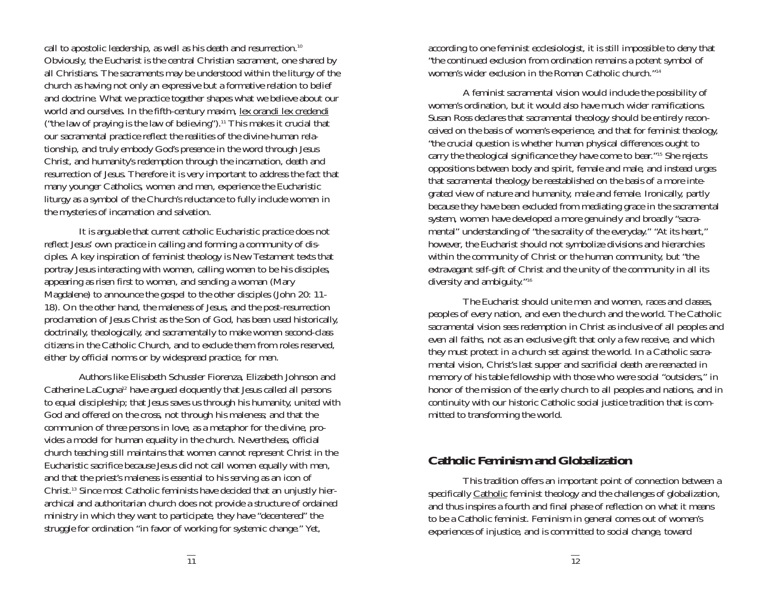call to apostolic leadership, as well as his death and resurrection.<sup>10</sup> Obviously, the Eucharist is the central Christian sacrament, one shared by all Christians. The sacraments may be understood within the liturgy of the church as having not only an expressive but a formative relation to belief and doctrine. What we practice together shapes what we believe about our world and ourselves. In the fifth-century maxim, lex orandi lex credendi ("the law of praying is the law of believing").11 This makes it crucial that our sacramental practice reflect the realities of the divine-human relationship, and truly embody God's presence in the word through Jesus Christ, and humanity's redemption through the incarnation, death and resurrection of Jesus. Therefore it is very important to address the fact that many younger Catholics, women and men, experience the Eucharistic liturgy as a symbol of the Church's reluctance to fully include women in the mysteries of incarnation and salvation.

It is arguable that current catholic Eucharistic practice does not reflect Jesus' own practice in calling and forming a community of disciples. A key inspiration of feminist theology is New Testament texts that portray Jesus interacting with women, calling women to be his disciples, appearing as risen first to women, and sending a woman (Mary Magdalene) to announce the gospel to the other disciples (John 20: 11- 18). On the other hand, the maleness of Jesus, and the post-resurrection proclamation of Jesus Christ as the Son of God, has been used historically, doctrinally, theologically, and sacramentally to make women second-class citizens in the Catholic Church, and to exclude them from roles reserved, either by official norms or by widespread practice, for men.

Authors like Elisabeth Schussler Fiorenza, Elizabeth Johnson and Catherine LaCugna<sup>12</sup> have argued eloquently that Jesus called all persons to equal discipleship; that Jesus saves us through his humanity, united with God and offered on the cross, not through his maleness; and that the communion of three persons in love, as a metaphor for the divine, provides a model for human equality in the church. Nevertheless, official church teaching still maintains that women cannot represent Christ in the Eucharistic sacrifice because Jesus did not call women equally with men, and that the priest's maleness is essential to his serving as an icon of Christ.13 Since most Catholic feminists have decided that an unjustly hierarchical and authoritarian church does not provide a structure of ordained ministry in which they want to participate, they have "decentered" the struggle for ordination "in favor of working for systemic change." Yet,

according to one feminist ecclesiologist, it is still impossible to deny that "the continued exclusion from ordination remains a potent symbol of women's wider exclusion in the Roman Catholic church."14

A feminist sacramental vision would include the possibility of women's ordination, but it would also have much wider ramifications. Susan Ross declares that sacramental theology should be entirely reconceived on the basis of women's experience, and that for feminist theology, "the crucial question is whether human physical differences ought to carry the theological significance they have come to bear."15 She rejects oppositions between body and spirit, female and male, and instead urges that sacramental theology be reestablished on the basis of a more integrated view of nature and humanity, male and female. Ironically, partly because they have been excluded from mediating grace in the sacramental system, women have developed a more genuinely and broadly "sacramental" understanding of "the sacrality of the everyday." "At its heart," however, the Eucharist should not symbolize divisions and hierarchies within the community of Christ or the human community, but "the extravagant self-gift of Christ and the unity of the community in all its diversity and ambiguity."16

The Eucharist should unite men and women, races and classes, peoples of every nation, and even the church and the world. The Catholic sacramental vision sees redemption in Christ as inclusive of all peoples and even all faiths, not as an exclusive gift that only a few receive, and which they must protect in a church set against the world. In a Catholic sacramental vision, Christ's last supper and sacrificial death are reenacted in memory of his table fellowship with those who were social "outsiders," in honor of the mission of the early church to all peoples and nations, and in continuity with our historic Catholic social justice tradition that is committed to transforming the world.

### **Catholic Feminism and Globalization**

This tradition offers an important point of connection between a specifically Catholic feminist theology and the challenges of globalization, and thus inspires a fourth and final phase of reflection on what it means to be a Catholic feminist. Feminism in general comes out of women's experiences of injustice, and is committed to social change, toward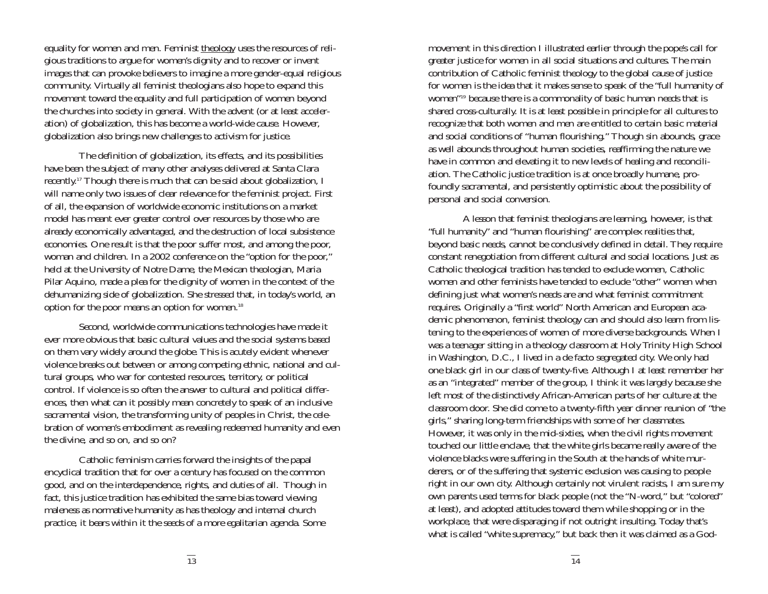equality for women and men. Feminist theology uses the resources of religious traditions to argue for women's dignity and to recover or invent images that can provoke believers to imagine a more gender-equal religious community. Virtually all feminist theologians also hope to expand this movement toward the equality and full participation of women beyond the churches into society in general. With the advent (or at least acceleration) of globalization, this has become a world-wide cause. However, globalization also brings new challenges to activism for justice.

The definition of globalization, its effects, and its possibilities have been the subject of many other analyses delivered at Santa Clara recently.17 Though there is much that can be said about globalization, I will name only two issues of clear relevance for the feminist project. First of all, the expansion of worldwide economic institutions on a market model has meant ever greater control over resources by those who are already economically advantaged, and the destruction of local subsistence economies. One result is that the poor suffer most, and among the poor, woman and children. In a 2002 conference on the "option for the poor," held at the University of Notre Dame, the Mexican theologian, Maria Pilar Aquino, made a plea for the dignity of women in the context of the dehumanizing side of globalization. She stressed that, in today's world, an option for the poor means an option for women.<sup>18</sup>

Second, worldwide communications technologies have made it ever more obvious that basic cultural values and the social systems based on them vary widely around the globe. This is acutely evident whenever violence breaks out between or among competing ethnic, national and cultural groups, who war for contested resources, territory, or political control. If violence is so often the answer to cultural and political differences, then what can it possibly mean concretely to speak of an inclusive sacramental vision, the transforming unity of peoples in Christ, the celebration of women's embodiment as revealing redeemed humanity and even the divine, and so on, and so on?

Catholic feminism carries forward the insights of the papal encyclical tradition that for over a century has focused on the common good, and on the interdependence, rights, and duties of all. Though in fact, this justice tradition has exhibited the same bias toward viewing maleness as normative humanity as has theology and internal church practice, it bears within it the seeds of a more egalitarian agenda. Some

movement in this direction I illustrated earlier through the pope's call for greater justice for women in all social situations and cultures. The main contribution of Catholic feminist theology to the global cause of justice for women is the idea that it makes sense to speak of the "full humanity of women"19 because there is a commonality of basic human needs that is shared cross-culturally. It is at least possible in principle for all cultures to recognize that both women and men are entitled to certain basic material and social conditions of "human flourishing." Though sin abounds, grace as well abounds throughout human societies, reaffirming the nature we have in common and elevating it to new levels of healing and reconciliation. The Catholic justice tradition is at once broadly humane, profoundly sacramental, and persistently optimistic about the possibility of personal and social conversion.

A lesson that feminist theologians are learning, however, is that "full humanity" and "human flourishing" are complex realities that, beyond basic needs, cannot be conclusively defined in detail. They require constant renegotiation from different cultural and social locations. Just as Catholic theological tradition has tended to exclude women, Catholic women and other feminists have tended to exclude "other" women when defining just what women's needs are and what feminist commitment requires. Originally a "first world" North American and European academic phenomenon, feminist theology can and should also learn from listening to the experiences of women of more diverse backgrounds. When I was a teenager sitting in a theology classroom at Holy Trinity High School in Washington, D.C., I lived in a de facto segregated city. We only had one black girl in our class of twenty-five. Although I at least remember her as an "integrated" member of the group, I think it was largely because she left most of the distinctively African-American parts of her culture at the classroom door. She did come to a twenty-fifth year dinner reunion of "the girls," sharing long-term friendships with some of her classmates. However, it was only in the mid-sixties, when the civil rights movement touched our little enclave, that the white girls became really aware of the violence blacks were suffering in the South at the hands of white murderers, or of the suffering that systemic exclusion was causing to people right in our own city. Although certainly not virulent racists, I am sure my own parents used terms for black people (not the "N-word," but "colored" at least), and adopted attitudes toward them while shopping or in the workplace, that were disparaging if not outright insulting. Today that's what is called "white supremacy," but back then it was claimed as a God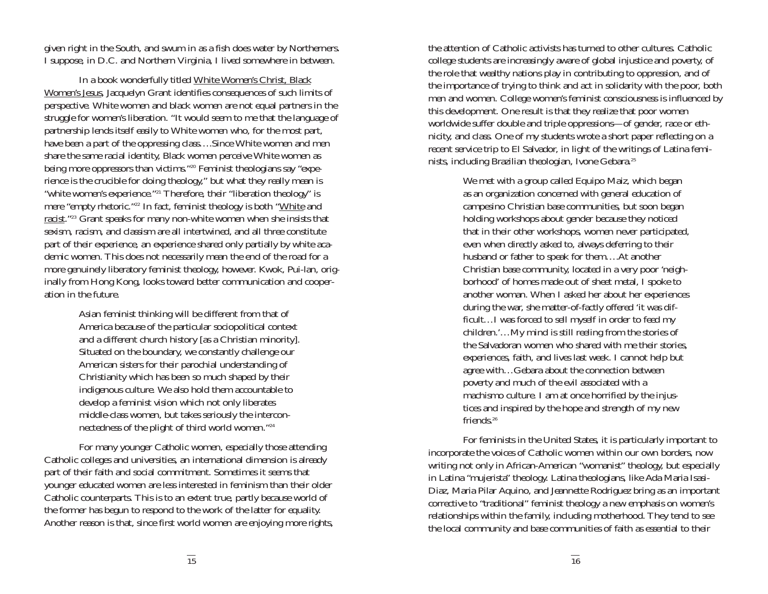given right in the South, and swum in as a fish does water by Northerners. I suppose, in D.C. and Northern Virginia, I lived somewhere in between.

In a book wonderfully titled <u>White Women's Christ, Black</u> Women's Jesus, Jacquelyn Grant identifies consequences of such limits of perspective. White women and black women are not equal partners in the struggle for women's liberation. "It would seem to me that the language of partnership lends itself easily to White women who, for the most part, have been a part of the oppressing class….Since White women and men share the same racial identity, Black women perceive White women as being more oppressors than victims."20 Feminist theologians say "experience is the crucible for doing theology," but what they really mean is "white women's experience."21 Therefore, their "liberation theology" is mere "empty rhetoric."22 In fact, feminist theology is both "White and <u>racist</u>."<sup>23</sup> Grant speaks for many non-white women when she insists that sexism, racism, and classism are all intertwined, and all three constitute part of their experience, an experience shared only partially by white academic women. This does not necessarily mean the end of the road for a more genuinely liberatory feminist theology, however. Kwok, Pui-lan, originally from Hong Kong, looks toward better communication and cooperation in the future.

> Asian feminist thinking will be different from that of America because of the particular sociopolitical context and a different church history [as a Christian minority]. Situated on the boundary, we constantly challenge our American sisters for their parochial understanding of Christianity which has been so much shaped by their indigenous culture. We also hold them accountable to develop a feminist vision which not only liberates middle-class women, but takes seriously the interconnectedness of the plight of third world women."24

For many younger Catholic women, especially those attending Catholic colleges and universities, an international dimension is already part of their faith and social commitment. Sometimes it seems that younger educated women are less interested in feminism than their older Catholic counterparts. This is to an extent true, partly because world of the former has begun to respond to the work of the latter for equality. Another reason is that, since first world women are enjoying more rights, the attention of Catholic activists has turned to other cultures. Catholic college students are increasingly aware of global injustice and poverty, of the role that wealthy nations play in contributing to oppression, and of the importance of trying to think and act in solidarity with the poor, both men and women. College women's feminist consciousness is influenced by this development. One result is that they realize that poor women worldwide suffer double and triple oppressions—of gender, race or ethnicity, and class. One of my students wrote a short paper reflecting on a recent service trip to El Salvador, in light of the writings of Latina feminists, including Brazilian theologian, Ivone Gebara.<sup>25</sup>

> We met with a group called Equipo Maiz, which began as an organization concerned with general education of campesino Christian base communities, but soon began holding workshops about gender because they noticed that in their other workshops, women never participated, even when directly asked to, always deferring to their husband or father to speak for them….At another Christian base community, located in a very poor 'neighborhood' of homes made out of sheet metal, I spoke to another woman. When I asked her about her experiences during the war, she matter-of-factly offered 'it was difficult…I was forced to sell myself in order to feed my children.'…My mind is still reeling from the stories of the Salvadoran women who shared with me their stories, experiences, faith, and lives last week. I cannot help but agree with…Gebara about the connection between poverty and much of the evil associated with a machismo culture. I am at once horrified by the injustices and inspired by the hope and strength of my new friends.<sup>26</sup>

For feminists in the United States, it is particularly important to incorporate the voices of Catholic women within our own borders, now writing not only in African-American "womanist" theology, but especially in Latina "mujerista" theology. Latina theologians, like Ada Maria Isasi-Diaz, Maria Pilar Aquino, and Jeannette Rodriguez bring as an important corrective to "traditional" feminist theology a new emphasis on women's relationships within the family, including motherhood. They tend to see the local community and base communities of faith as essential to their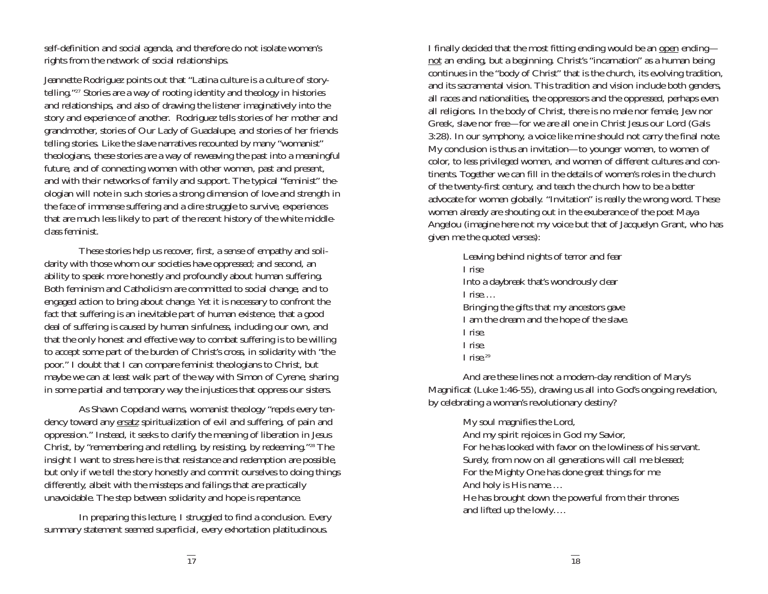self-definition and social agenda, and therefore do not isolate women's rights from the network of social relationships.

Jeannette Rodriguez points out that "Latina culture is a culture of storytelling."27 Stories are a way of rooting identity and theology in histories and relationships, and also of drawing the listener imaginatively into the story and experience of another. Rodriguez tells stories of her mother and grandmother, stories of Our Lady of Guadalupe, and stories of her friends telling stories. Like the slave narratives recounted by many "womanist" theologians, these stories are a way of reweaving the past into a meaningful future, and of connecting women with other women, past and present, and with their networks of family and support. The typical "feminist" theologian will note in such stories a strong dimension of love and strength in the face of immense suffering and a dire struggle to survive, experiences that are much less likely to part of the recent history of the white middleclass feminist.

These stories help us recover, first, a sense of empathy and solidarity with those whom our societies have oppressed; and second, an ability to speak more honestly and profoundly about human suffering. Both feminism and Catholicism are committed to social change, and to engaged action to bring about change. Yet it is necessary to confront the fact that suffering is an inevitable part of human existence, that a good deal of suffering is caused by human sinfulness, including our own, and that the only honest and effective way to combat suffering is to be willing to accept some part of the burden of Christ's cross, in solidarity with "the poor." I doubt that I can compare feminist theologians to Christ, but maybe we can at least walk part of the way with Simon of Cyrene, sharing in some partial and temporary way the injustices that oppress our sisters.

As Shawn Copeland warns, womanist theology "repels every tendency toward any ersatz spiritualization of evil and suffering, of pain and oppression." Instead, it seeks to clarify the meaning of liberation in Jesus Christ, by "remembering and retelling, by resisting, by redeeming."28 The insight I want to stress here is that resistance and redemption are possible, but only if we tell the story honestly and commit ourselves to doing things differently, albeit with the missteps and failings that are practically unavoidable. The step between solidarity and hope is repentance.

In preparing this lecture, I struggled to find a conclusion. Every summary statement seemed superficial, every exhortation platitudinous.

I finally decided that the most fitting ending would be an open ending not an ending, but a beginning. Christ's "incarnation" as a human being continues in the "body of Christ" that is the church, its evolving tradition, and its sacramental vision. This tradition and vision include both genders, all races and nationalities, the oppressors and the oppressed, perhaps even all religions. In the body of Christ, there is no male nor female, Jew nor Greek, slave nor free—for we are all one in Christ Jesus our Lord (Gals 3:28). In our symphony, a voice like mine should not carry the final note. My conclusion is thus an invitation—to younger women, to women of color, to less privileged women, and women of different cultures and continents. Together we can fill in the details of women's roles in the church of the twenty-first century, and teach the church how to be a better advocate for women globally. "Invitation" is really the wrong word. These women already are shouting out in the exuberance of the poet Maya Angelou (imagine here not my voice but that of Jacquelyn Grant, who has given me the quoted verses):

> Leaving behind nights of terror and fear I rise Into a daybreak that's wondrously clear I rise…. Bringing the gifts that my ancestors gave I am the dream and the hope of the slave. I rise. I rise. I rise.<sup>29</sup>

And are these lines not a modern-day rendition of Mary's Magnificat (Luke 1:46-55), drawing us all into God's ongoing revelation, by celebrating a woman's revolutionary destiny?

My soul magnifies the Lord,

And my spirit rejoices in God my Savior, For he has looked with favor on the lowliness of his servant. Surely, from now on all generations will call me blessed; For the Mighty One has done great things for me And holy is His name…. He has brought down the powerful from their thrones

and lifted up the lowly….